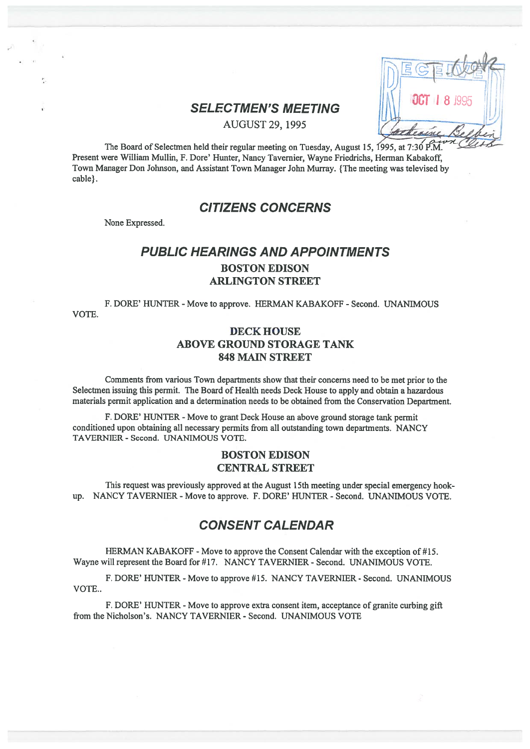| 톱                   |  |
|---------------------|--|
| <b>OCT 1 8 1995</b> |  |
|                     |  |

# SELECTMEN'S MEETING

AUGUST 29, 1995

The Board of Selectmen held their regular meeting on Tuesday, August 15, 1995, at 7:30  $P.M.$ Present were William Mullin, F. Dore' Hunter, Nancy Tavemier, Wayne Friedrichs, Herman Kabakoff, Town Manager Don Johnson, and Assistant Town Manager John Murray. {The meeting was televised by cable}.

# CITIZENS CONCERNS

None Expressed.

# PUBLIC HEARINGS AND APPOINTMENTS BOSTON EDISON ARLINGTON STREET

F. DORE' HUNTER - Move to approve. HERMAN KABAKOFF - Second. UNANIMOUS VOTE.

## DECK HOUSE ABOVE GROUND STORAGE TANK 848 MAIN STREET

Comments from various Town departments show that their concerns need to be met prior to the Selectmen issuing this permit. The Board of Health needs Deck House to apply and obtain <sup>a</sup> hazardous materials permit application and <sup>a</sup> determination needs to be obtained from the Conservation Department.

F. DORE' HUNTER - Move to grant Deck House an above ground storage tank permit conditioned upon obtaining all necessary permits from all outstanding town departments. NANCY TAVERNIER - Second. UNANIMOUS VOTE.

## BOSTON EDISON CENTRAL STREET

This reques<sup>t</sup> was previously approved at the August 15th meeting under special emergency hook up. NANCY TAVERMER -Move to approve. F. DORE' HUNTER - Second. UNANIMOUS VOTE.

# CONSENT CALENDAR

HERMAN KABAKOFF -Move to approve the Consent Calendar with the exception of #15. Wayne will represent the Board for #17. NANCY TAVERNIER - Second. UNANIMOUS VOTE.

F. DORE' HUNTER - Move to approve #15. NANCY TAVERNIER - Second. UNANIMOUS VOTE..

F. DORE' HUNTER - Move to approve extra consent item, acceptance of granite curbing gift from the Nicholson's. NANCY TAVERNIER - Second. UNANIMOUS VOTE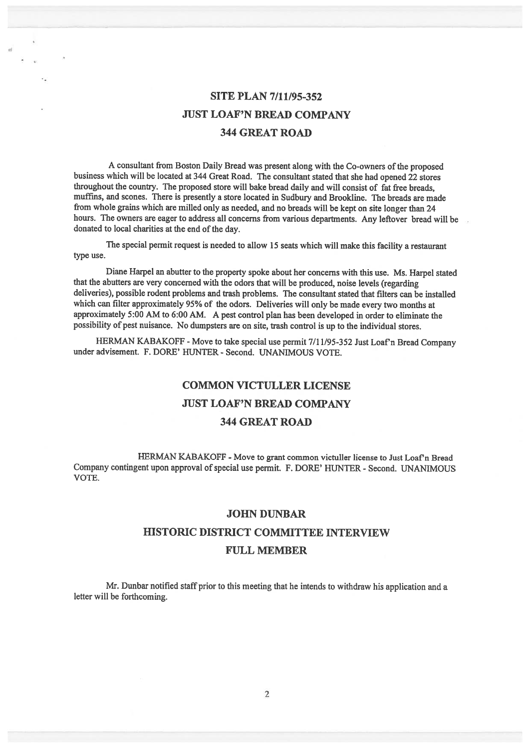# SITE PLAN 7/11/95-352 JUST LOAF'N BREAD COMPANY 344 GREAT ROAD

<sup>A</sup> consultant from Boston Daily Bread was presen<sup>t</sup> along with the Co-owners of the propose<sup>d</sup> business which will be located at <sup>344</sup> Great Road. The consultant stated that she had opene<sup>d</sup> <sup>22</sup> stores throughout the country. The propose<sup>d</sup> store will bake bread daily and will consist of fat free breads, muffms, and scones. There is presently <sup>a</sup> store located in Sudbury and Brookline. The breads are made from whole grains which are milled only as needed, and no breads will be kept on site longer than <sup>24</sup> hours. The owners are eager to address all concerns from various departments. Any leftover bread will be donated to local charities at the end of the day.

The special permit reques<sup>t</sup> is needed to allow <sup>15</sup> seats which will make this facility <sup>a</sup> restaurant type use.

Diane Harpel an abutter to the property spoke about her concerns with this use. Ms. Harpel stated that the abutters are very concerned with the odors that will be produced, noise levels (regarding deliveries), possible rodent problems and trash problems. The consultant stated that filters can be installed which can filter approximately 95% of the odors. Deliveries will only be made every two months at approximately 5:00 AM to 6:00 AM. <sup>A</sup> pes<sup>t</sup> control <sup>p</sup>lan has been developed in order to eliminate the possibility of pes<sup>t</sup> nuisance. No dumpsters are on site, trash control is up to the individual stores.

HERMAN KABAKOFF - Move to take special use permit 7/11/95-352 Just Loaf'n Bread Company under advisement. F. DORE' HUNTER - Second. UNANIMOUS VOTE.

#### COMMON VICTULLER LICENSE

#### JUST LOAF'N BREAD COMPANY

#### 344 GREAT ROAD

HERMAN KABAKOFF - Move to grant common victuller license to Just Loaf'n Bread Company contingent upon approval of special use permit. F. DORE' HUNTER - Second. UNANIMOUS VOTE.

#### JOHN DUNBAR

#### HISTORIC DISTRICT COMMITTEE INTERVIEW

#### FULL MEMBER

Mr. Dunbar notified staff prior to this meeting that he intends to withdraw his application and <sup>a</sup> letter will be forthcoming.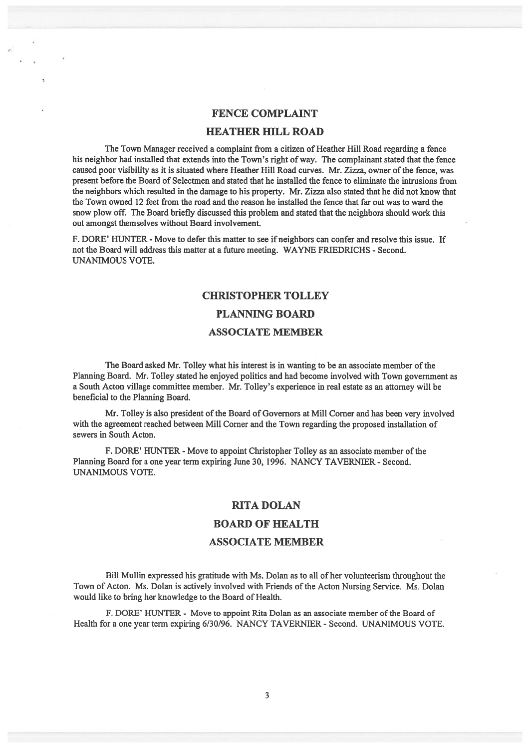#### FENCE COMPLAINT

#### HEATHER HILL ROAD

The Town Manager received <sup>a</sup> complaint from <sup>a</sup> citizen of Heather Hill Road regarding <sup>a</sup> fence his neighbor had installed that extends into the Town's right of way. The complainant stated that the fence caused poor visibility as it is situated where Heather Hill Road curves. Mr. Zizza, owner ofthe fence, was presen<sup>t</sup> before the Board of Selectmen and stated that he installed the fence to eliminate the intrusions from the neighbors which resulted in the damage to his property. Mr. Zizza also stated that he did not know that the Town owned 12 feet from the road and the reason he installed the fence that far out was to ward the snow plow off. The Board briefly discussed this problem and stated that the neighbors should work this out amongs<sup>t</sup> themselves without Board involvement.

F. DORE' HUNTER - Move to defer this matter to see if neighbors can confer and resolve this issue. If not the Board will address this matter at <sup>a</sup> future meeting. WAYNE FRIEDRICHS - Second. UNANIMOUS VOTE.

# CHRISTOPHER TOLLEY PLANNING BOARD ASSOCIATE MEMBER

The Board asked Mr. Tolley what his interest is in wanting to be an associate member of the Planning Board. Mr. Tolley stated he enjoyed politics and had become involved with Town governmen<sup>t</sup> as <sup>a</sup> South Acton village committee member. Mr. Tolley's experience in real estate as an attorney will be beneficial to the Planning Board.

Mr. Tolley is also president of the Board of Governors at Mill Corner and has been very involved with the agreemen<sup>t</sup> reached between Mill Corner and the Town regarding the proposed installation of sewers in South Acton.

F. DORE' HUNTER - Move to appoint Christopher Tolley as an associate member of the Planning Board for <sup>a</sup> one year term expiring June 30, 1996. NANCY TAVERNIER - Second. UNANIMOUS VOTE.

#### RITA DOLAN

#### BOARD OF HEALTH

#### ASSOCIATE MEMBER

Bill Mullin expressed his gratitude with Ms. Dolan as to all of her volunteerism throughout the Town of Acton. Ms. Dolan is actively involved with Friends of the Acton Nursing Service. Ms. Dolan would like to bring her knowledge to the Board of Health.

F. DORE' HUNTER - Move to appoint Rita Dolan as an associate member of the Board of Health for <sup>a</sup> one year term expiring 6/30/96. NANCY TAVERNIER - Second. UNANIMOUS VOTE.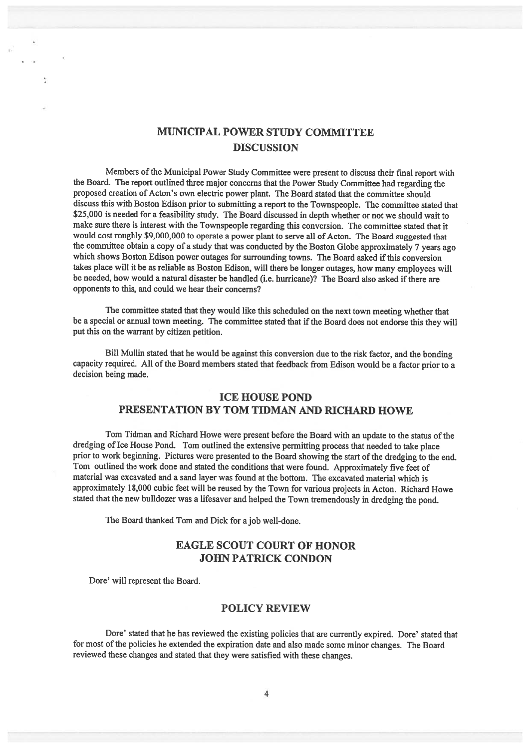# MUNICIPAL POWER STUDY COMMITTEE **DISCUSSION**

Members of the Municipal Power Study Committee were present to discuss their final report with the Board. The repor<sup>t</sup> outlined three major concerns that the Power Study Committee had regarding the propose<sup>d</sup> creation of Acton's own electric power <sup>p</sup>lant. The Board stated that the committee should discuss this with Boston Edison prior to submitting <sup>a</sup> repor<sup>t</sup> to the Townspeople. The committee stated that \$25,000 is needed for a feasibility study. The Board discussed in depth whether or not we should wait to make sure there is interest with the Townspeople regarding this conversion. The committee stated that it would cost roughly \$9,000,000 to operate <sup>a</sup> power <sup>p</sup>lant to serve all of Acton. The Board suggested that the committee obtain <sup>a</sup> copy of <sup>a</sup> study that was conducted by the Boston Globe approximately <sup>7</sup> years ago which shows Boston Edison power outages for surrounding towns. The Board asked if this conversion takes <sup>p</sup>lace will it be as reliable as Boston Edison, will there be longer outages, how many employees will be needed, how would a natural disaster be handled (i.e. hurricane)? The Board also asked if there are opponents to this, and could we hear their concerns?

The committee stated that they would like this scheduled on the next town meeting whether that be a special or annual town meeting. The committee stated that if the Board does not endorse this they will pu<sup>t</sup> this on the warrant by citizen petition.

Bill Mullin stated that he would be against this conversion due to the risk factor, and the bonding capacity required. All of the Board members stated that feedback from Edison would be <sup>a</sup> factor prior to <sup>a</sup> decision being made.

### ICE HOUSE POND PRESENTATION BY TOM TIDMAN AND RICHARD HOWE

Tom Tidman and Richard Howe were present before the Board with an update to the status of the dredging of Ice House Pond. Tom outlined the extensive permitting process that needed to take <sup>p</sup>lace prior to work beginning. Pictures were presented to the Board showing the start ofthe dredging to the end. Tom outlined the work done and stated the conditions that were found. Approximately five feet of material was excavated and <sup>a</sup> sand layer was found at the bottom. The excavated material which is approximately 18,000 cubic feet will be reused by the Town for various projects in Acton. Richard Howe stated that the new bulldozer was <sup>a</sup> lifesaver and helped the Town tremendously in dredging the pond.

The Board thanked Tom and Dick for <sup>a</sup> job well-done.

## EAGLE SCOUT COURT OF HONOR JOHN PATRICK CONDON

Dore' will represen<sup>t</sup> the Board.

#### POLICY REVIEW

Dore' stated that he has reviewed the existing policies that are currently expired. Dore' stated that for most of the policies he extended the expiration date and also made some minor changes. The Board reviewed these changes and stated that they were satisfied with these changes.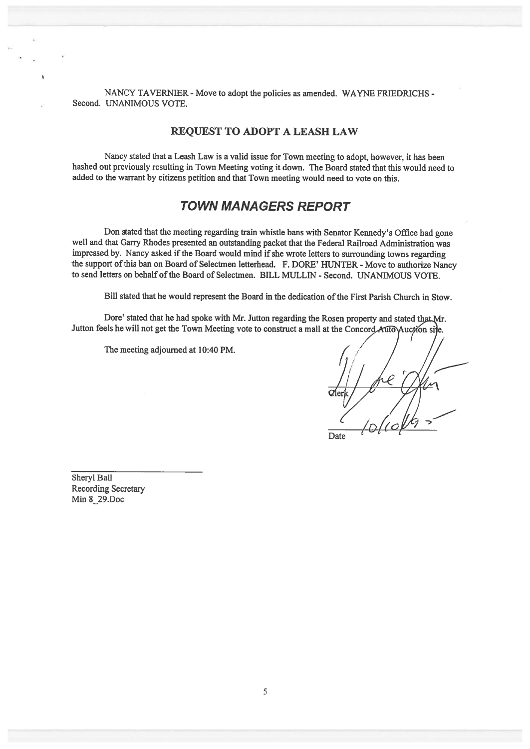NANCY TAVERNIER - Move to adopt the policies as amended. WAYNE FRIEDRICHS -Second. UNANIMOUS VOTE.

#### REQUEST TO ADOPT A LEASH LAW

Nancy stated that <sup>a</sup> Leash Law is <sup>a</sup> valid issue for Town meeting to adopt, however, it has been hashed out previously resulting in Town Meeting voting it down. The Board stated that this would need to added to the warrant by citizens petition and that Town meeting would need to vote on this.

## TOWN MANAGERS REPORT

Don stated that the meeting regarding train whistle bans with Senator Kennedy's Office had gone well and that Garry Rhodes presented an outstanding packet that the Federal Railroad Administration was impressed by. Nancy asked if the Board would mind if she wrote letters to surrounding towns regarding the support of this ban on Board of Selectmen letterhead. F. DORE' HUNTER - Move to authorize Nancy to send letters on behalf ofthe Board of Selectmen. BILL MULLIN - Second. UNANIMOUS VOTE.

Bill stated that he would represent the Board in the dedication of the First Parish Church in Stow.

Dore' stated that he had spoke with Mr. Jutton regarding the Rosen property and stated that Mr. Jutton feels he will not get the Town Meeting vote to construct a mall at the Concord Auto Auction side.

The meeting adjourned at 10:40 PM.

/ / **Date** 

Sheryl Ball Recording Secretary Min \$29.Doc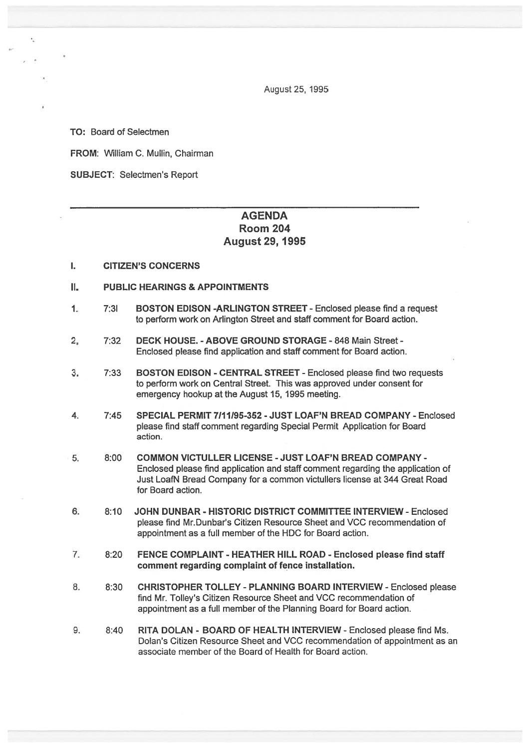August25, 1995

TO: Board of Selectmen

FROM: William C. Mullin, Chairman

SUBJECT: Selectmen's Report

## **AGENDA** Room 204 August 29, 1995

#### I. CITIZEN'S CONCERNS

- II. PUBLIC HEARINGS & APPOINTMENTS
- 1. 7:31 BOSTON EDISON -ARLINGTON STREET Enclosed please find <sup>a</sup> reques<sup>t</sup> to perform work on Arlington Street and staff comment for Board action.
- 2, 7:32 DECK HOUSE. ABOVE GROUND STORAGE 848 Main Street Enclosed please find application and staff comment for Board action.
- 3. 7:33 BOSTON EDISON CENTRAL STREET -Enclosed please find two requests to perform work on Central Street. This was approved under consent for emergency hookup at the August 15, 1995 meeting.
- 4. 7:45 SPECIAL PERMIT 7111195-352 -JUST LOAF'N BREAD COMPANY Enclosed please find staff comment regarding Special Permit Application for Board action.
- 5. 8:00 COMMON VICTULLER LICENSE -JUST LOAF'N BREAD COMPANY Enclosed please find application and staff comment regarding the application of Just LoafN Bread Company for <sup>a</sup> common victullers license at 344 Great Road for Board action.
- 6. 8:10 JOHN DUNBAR HISTORIC DISTRICT COMMITTEE INTERVIEW- Enclosed please find Mr.Dunbar's Citizen Resource Sheet and VCC recommendation of appointment as <sup>a</sup> full member of the HDC for Board action.
- 7. 8:20 FENCE COMPLAINT HEATHER HILL ROAD Enclosed please find staff comment regarding complaint of fence installation.
- 8. 8:30 CHRISTOPHER TOLLEY PLANNING BOARD INTERVIEW Enclosed please find Mr. Tolley's Citizen Resource Sheet and VCC recommendation of appointment as <sup>a</sup> full member of the Planning Board for Board action.
- 9. 8:40 RITA DOLAN BOARD OF HEALTH INTERVIEW Enclosed please find Ms. Dolan's Citizen Resource Sheet and VCC recommendation of appointment as an associate member of the Board of Health for Board action.